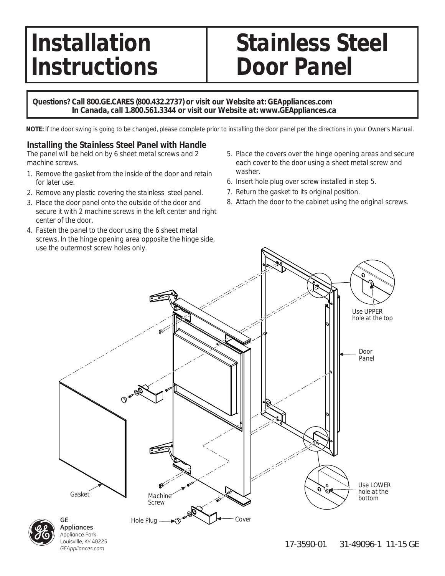## **Instructions | Door Panel**

# Installation | Stainless Steel

#### **Questions? Call 800.GE.CARES (800.432.2737) or visit our Website at: GEAppliances.com In Canada, call 1.800.561.3344 or visit our Website at: www.GEAppliances.ca**

**NOTE:** If the door swing is going to be changed, please complete prior to installing the door panel per the directions in your Owner's Manual.

#### **Installing the Stainless Steel Panel with Handle**

The panel will be held on by 6 sheet metal screws and 2 machine screws.

- 1. Remove the gasket from the inside of the door and retain for later use.
- 2. Remove any plastic covering the stainless steel panel.
- 3. Place the door panel onto the outside of the door and secure it with 2 machine screws in the left center and right center of the door.
- 4. Fasten the panel to the door using the 6 sheet metal screws. In the hinge opening area opposite the hinge side, use the outermost screw holes only.
- 5. Place the covers over the hinge opening areas and secure each cover to the door using a sheet metal screw and washer.
- 6. Insert hole plug over screw installed in step 5.
- 7. Return the gasket to its original position.
- 8. Attach the door to the cabinet using the original screws.



Louisville, KY 40225 *GEAppliances.com*